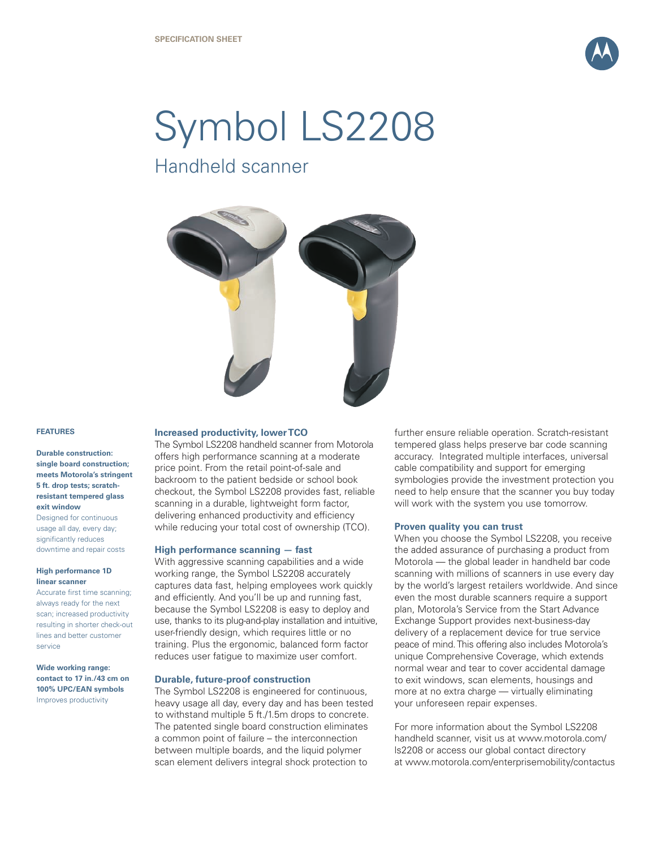

# Symbol LS2208

Handheld scanner



# **FEATURES**

# **Durable construction: single board construction; meets Motorola's stringent 5 ft. drop tests; scratchresistant tempered glass exit window**

Designed for continuous usage all day, every day; significantly reduces downtime and repair costs

#### **High performance 1D linear scanner**

Accurate first time scanning; always ready for the next scan; increased productivity resulting in shorter check-out lines and better customer service

**Wide working range: contact to 17 in./43 cm on 100% UPC/EAN symbols** Improves productivity

### **Increased productivity, lower TCO**

The Symbol LS2208 handheld scanner from Motorola offers high performance scanning at a moderate price point. From the retail point-of-sale and backroom to the patient bedside or school book checkout, the Symbol LS2208 provides fast, reliable scanning in a durable, lightweight form factor, delivering enhanced productivity and efficiency while reducing your total cost of ownership (TCO).

### **High performance scanning — fast**

With aggressive scanning capabilities and a wide working range, the Symbol LS2208 accurately captures data fast, helping employees work quickly and efficiently. And you'll be up and running fast, because the Symbol LS2208 is easy to deploy and use, thanks to its plug-and-play installation and intuitive, user-friendly design, which requires little or no training. Plus the ergonomic, balanced form factor reduces user fatigue to maximize user comfort.

#### **Durable, future-proof construction**

The Symbol LS2208 is engineered for continuous, heavy usage all day, every day and has been tested to withstand multiple 5 ft./1.5m drops to concrete. The patented single board construction eliminates a common point of failure – the interconnection between multiple boards, and the liquid polymer scan element delivers integral shock protection to

further ensure reliable operation. Scratch-resistant tempered glass helps preserve bar code scanning accuracy. Integrated multiple interfaces, universal cable compatibility and support for emerging symbologies provide the investment protection you need to help ensure that the scanner you buy today will work with the system you use tomorrow.

### **Proven quality you can trust**

When you choose the Symbol LS2208, you receive the added assurance of purchasing a product from Motorola — the global leader in handheld bar code scanning with millions of scanners in use every day by the world's largest retailers worldwide. And since even the most durable scanners require a support plan, Motorola's Service from the Start Advance Exchange Support provides next-business-day delivery of a replacement device for true service peace of mind. This offering also includes Motorola's unique Comprehensive Coverage, which extends normal wear and tear to cover accidental damage to exit windows, scan elements, housings and more at no extra charge — virtually eliminating your unforeseen repair expenses.

For more information about the Symbol LS2208 handheld scanner, visit us at www.motorola.com/ ls2208 or access our global contact directory at www.motorola.com/enterprisemobility/contactus